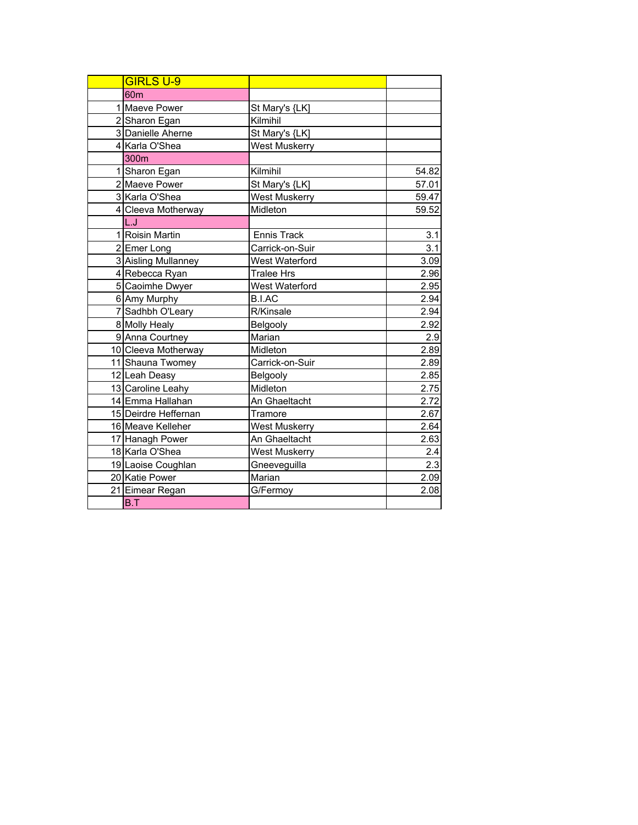| <b>GIRLS U-9</b>     |                      |       |
|----------------------|----------------------|-------|
| 60 <sub>m</sub>      |                      |       |
| 1 Maeve Power        | St Mary's {LK]       |       |
| 2 Sharon Egan        | Kilmihil             |       |
| 3 Danielle Aherne    | St Mary's {LK]       |       |
| 4 Karla O'Shea       | <b>West Muskerry</b> |       |
| 300 <sub>m</sub>     |                      |       |
| 1 Sharon Egan        | Kilmihil             | 54.82 |
| 2 Maeve Power        | St Mary's {LK]       | 57.01 |
| 3 Karla O'Shea       | <b>West Muskerry</b> | 59.47 |
| 4 Cleeva Motherway   | Midleton             | 59.52 |
| L.J                  |                      |       |
| 1 Roisin Martin      | Ennis Track          | 3.1   |
| 2 Emer Long          | Carrick-on-Suir      | 3.1   |
| 3 Aisling Mullanney  | West Waterford       | 3.09  |
| 4 Rebecca Ryan       | <b>Tralee Hrs</b>    | 2.96  |
| 5 Caoimhe Dwyer      | West Waterford       | 2.95  |
| 6 Amy Murphy         | <b>B.I.AC</b>        | 2.94  |
| 7 Sadhbh O'Leary     | R/Kinsale            | 2.94  |
| 8 Molly Healy        | Belgooly             | 2.92  |
| 9 Anna Courtney      | Marian               | 2.9   |
| 10 Cleeva Motherway  | Midleton             | 2.89  |
| 11 Shauna Twomey     | Carrick-on-Suir      | 2.89  |
| 12 Leah Deasy        | Belgooly             | 2.85  |
| 13 Caroline Leahy    | Midleton             | 2.75  |
| 14 Emma Hallahan     | An Ghaeltacht        | 2.72  |
| 15 Deirdre Heffernan | Tramore              | 2.67  |
| 16 Meave Kelleher    | <b>West Muskerry</b> | 2.64  |
| 17 Hanagh Power      | An Ghaeltacht        | 2.63  |
| 18 Karla O'Shea      | <b>West Muskerry</b> | 2.4   |
| 19 Laoise Coughlan   | Gneeveguilla         | 2.3   |
| 20 Katie Power       | Marian               | 2.09  |
| 21 Eimear Regan      | G/Fermoy             | 2.08  |
| B.T                  |                      |       |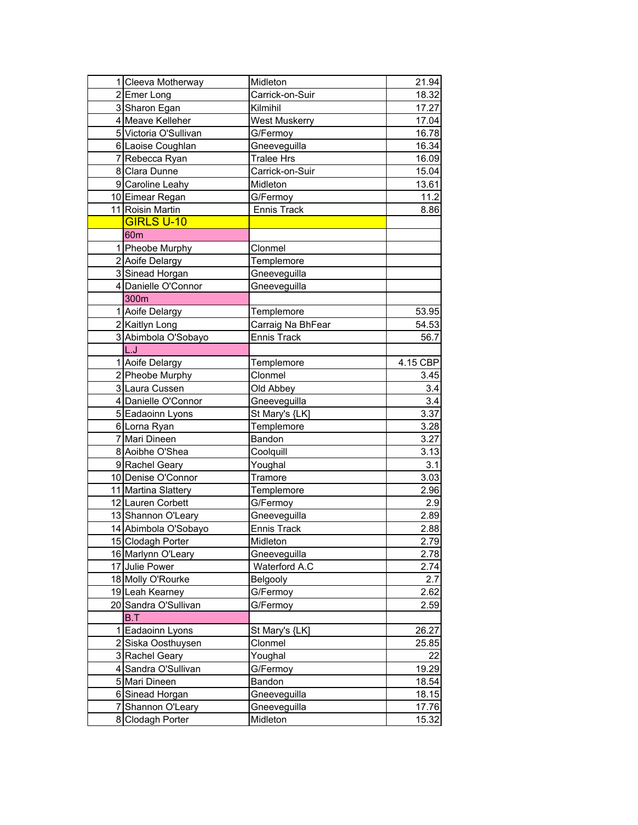| 1 Cleeva Motherway    | Midleton          | 21.94    |
|-----------------------|-------------------|----------|
| 2 Emer Long           | Carrick-on-Suir   | 18.32    |
| 3 Sharon Egan         | Kilmihil          | 17.27    |
| 4 Meave Kelleher      | West Muskerry     | 17.04    |
| 5 Victoria O'Sullivan | G/Fermoy          | 16.78    |
| 6 Laoise Coughlan     | Gneeveguilla      | 16.34    |
| 7 Rebecca Ryan        | <b>Tralee Hrs</b> | 16.09    |
| 8 Clara Dunne         | Carrick-on-Suir   | 15.04    |
| 9 Caroline Leahy      | Midleton          | 13.61    |
| 10 Eimear Regan       | G/Fermoy          | 11.2     |
| 11 Roisin Martin      | Ennis Track       | 8.86     |
| <b>GIRLS U-10</b>     |                   |          |
| 60 <sub>m</sub>       |                   |          |
| 1 Pheobe Murphy       | Clonmel           |          |
| 2 Aoife Delargy       | Templemore        |          |
| 3 Sinead Horgan       | Gneeveguilla      |          |
| 4 Danielle O'Connor   | Gneeveguilla      |          |
| 300m                  |                   |          |
| 1 Aoife Delargy       | Templemore        | 53.95    |
| 2 Kaitlyn Long        | Carraig Na BhFear | 54.53    |
| 3 Abimbola O'Sobayo   | Ennis Track       | 56.7     |
| L.J                   |                   |          |
| 1 Aoife Delargy       | Templemore        | 4.15 CBP |
| 2 Pheobe Murphy       | Clonmel           | 3.45     |
| 3 Laura Cussen        | Old Abbey         | 3.4      |
| 4 Danielle O'Connor   | Gneeveguilla      | 3.4      |
| 5 Eadaoinn Lyons      | St Mary's {LK]    | 3.37     |
| 6 Lorna Ryan          | Templemore        | 3.28     |
| 7 Mari Dineen         | Bandon            | 3.27     |
| 8 Aoibhe O'Shea       | Coolquill         | 3.13     |
| 9 Rachel Geary        | Youghal           | 3.1      |
| 10 Denise O'Connor    | Tramore           | 3.03     |
| 11 Martina Slattery   | Templemore        | 2.96     |
| 12 Lauren Corbett     | G/Fermoy          | 2.9      |
| 13 Shannon O'Leary    | Gneeveguilla      | 2.89     |
| 14 Abimbola O'Sobayo  | Ennis Track       | 2.88     |
| 15 Clodagh Porter     | Midleton          | 2.79     |
| 16 Marlynn O'Leary    | Gneeveguilla      | 2.78     |
| 17 Julie Power        | Waterford A.C     | 2.74     |
| 18 Molly O'Rourke     | <b>Belgooly</b>   | 2.7      |
| 19 Leah Kearney       | G/Fermoy          | 2.62     |
| 20 Sandra O'Sullivan  | G/Fermoy          | 2.59     |
| B.T                   |                   |          |
| 1 Eadaoinn Lyons      | St Mary's {LK]    | 26.27    |
| 2 Siska Oosthuysen    | Clonmel           | 25.85    |
| 3 Rachel Geary        | Youghal           | 22       |
| 4 Sandra O'Sullivan   | G/Fermoy          | 19.29    |
| 5 Mari Dineen         | Bandon            | 18.54    |
| 6 Sinead Horgan       | Gneeveguilla      | 18.15    |
| 7 Shannon O'Leary     | Gneeveguilla      | 17.76    |
| 8 Clodagh Porter      | Midleton          | 15.32    |
|                       |                   |          |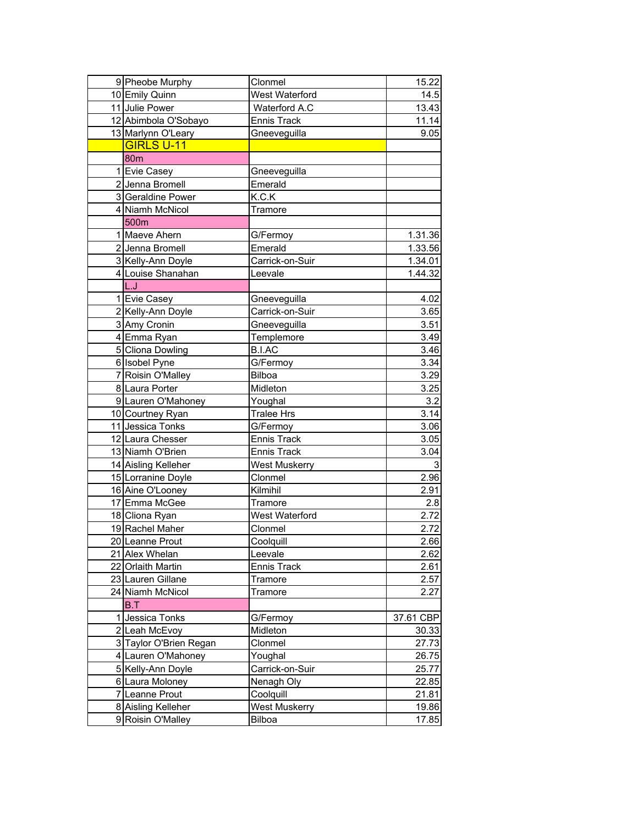| 9 Pheobe Murphy        | Clonmel              | 15.22     |
|------------------------|----------------------|-----------|
| 10 Emily Quinn         | West Waterford       | 14.5      |
| 11 Julie Power         | Waterford A.C        | 13.43     |
| 12 Abimbola O'Sobayo   | <b>Ennis Track</b>   | 11.14     |
| 13 Marlynn O'Leary     | Gneeveguilla         | 9.05      |
| <b>GIRLS U-11</b>      |                      |           |
| 80 <sub>m</sub>        |                      |           |
| 1 Evie Casey           | Gneeveguilla         |           |
| 2 Jenna Bromell        | Emerald              |           |
| 3 Geraldine Power      | K.C.K                |           |
| 4 Niamh McNicol        | Tramore              |           |
| 500m                   |                      |           |
| 1 Maeve Ahern          | G/Fermoy             | 1.31.36   |
| 2 Jenna Bromell        | Emerald              | 1.33.56   |
| 3 Kelly-Ann Doyle      | Carrick-on-Suir      | 1.34.01   |
| 4 Louise Shanahan      | Leevale              | 1.44.32   |
| L.J                    |                      |           |
| 1 Evie Casey           | Gneeveguilla         | 4.02      |
| 2 Kelly-Ann Doyle      | Carrick-on-Suir      | 3.65      |
| 3 Amy Cronin           | Gneeveguilla         | 3.51      |
| 4 Emma Ryan            | Templemore           | 3.49      |
| 5 Cliona Dowling       | <b>B.I.AC</b>        | 3.46      |
|                        |                      | 3.34      |
| 6 Isobel Pyne          | G/Fermoy             |           |
| 7 Roisin O'Malley      | Bilboa               | 3.29      |
| 8 Laura Porter         | Midleton             | 3.25      |
| 9 Lauren O'Mahoney     | Youghal              | 3.2       |
| 10 Courtney Ryan       | <b>Tralee Hrs</b>    | 3.14      |
| 11 Jessica Tonks       | G/Fermoy             | 3.06      |
| 12 Laura Chesser       | <b>Ennis Track</b>   | 3.05      |
| 13 Niamh O'Brien       | Ennis Track          | 3.04      |
| 14 Aisling Kelleher    | <b>West Muskerry</b> | 3         |
| 15 Lorranine Doyle     | Clonmel              | 2.96      |
| 16 Aine O'Looney       | Kilmihil             | 2.91      |
| 17 Emma McGee          | Tramore              | 2.8       |
| 18 Cliona Ryan         | West Waterford       | 2.72      |
| 19 Rachel Maher        | Clonmel              | 2.72      |
| 20 Leanne Prout        | Coolquill            | 2.66      |
| 21 Alex Whelan         | Leevale              | 2.62      |
| 22 Orlaith Martin      | <b>Ennis Track</b>   | 2.61      |
| 23 Lauren Gillane      | Tramore              | 2.57      |
| 24 Niamh McNicol       | Tramore              | 2.27      |
| B.T                    |                      |           |
| 1 Jessica Tonks        | G/Fermoy             | 37.61 CBP |
| 2 Leah McEvoy          | Midleton             | 30.33     |
| 3 Taylor O'Brien Regan | Clonmel              | 27.73     |
| 4 Lauren O'Mahoney     | Youghal              | 26.75     |
| 5 Kelly-Ann Doyle      | Carrick-on-Suir      | 25.77     |
| 6 Laura Moloney        | Nenagh Oly           | 22.85     |
| 7 Leanne Prout         | Coolquill            | 21.81     |
| 8 Aisling Kelleher     | <b>West Muskerry</b> | 19.86     |
| 9 Roisin O'Malley      | <b>Bilboa</b>        | 17.85     |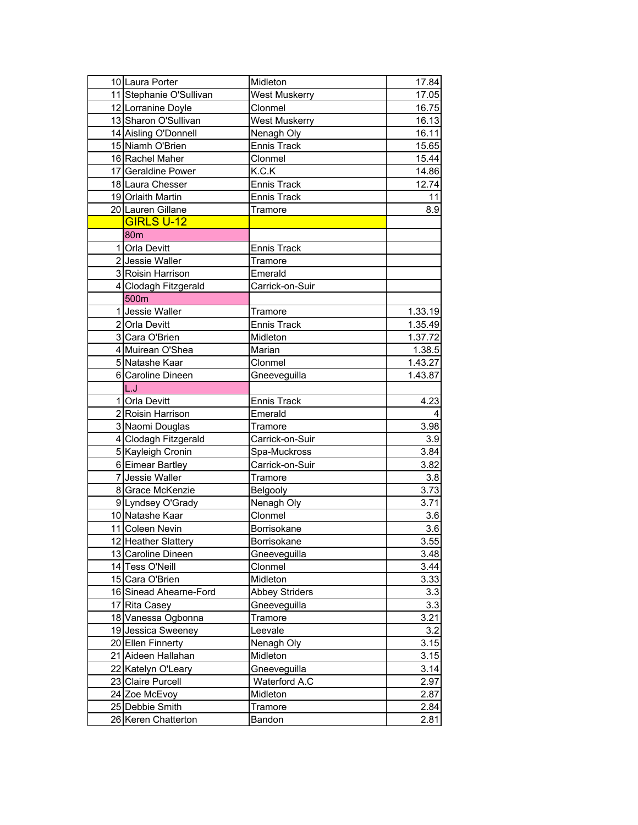| 10 Laura Porter         | Midleton              | 17.84             |
|-------------------------|-----------------------|-------------------|
| 11 Stephanie O'Sullivan | <b>West Muskerry</b>  | 17.05             |
| 12 Lorranine Doyle      | Clonmel               | 16.75             |
| 13 Sharon O'Sullivan    | <b>West Muskerry</b>  | 16.13             |
| 14 Aisling O'Donnell    | Nenagh Oly            | 16.11             |
| 15 Niamh O'Brien        | <b>Ennis Track</b>    | 15.65             |
| 16 Rachel Maher         | Clonmel               | 15.44             |
| 17 Geraldine Power      | K.C.K                 | 14.86             |
| 18 Laura Chesser        | <b>Ennis Track</b>    | 12.74             |
| 19 Orlaith Martin       | <b>Ennis Track</b>    | 11                |
| 20 Lauren Gillane       | Tramore               | 8.9               |
| <b>GIRLS U-12</b>       |                       |                   |
| 80 <sub>m</sub>         |                       |                   |
| 1 Orla Devitt           | <b>Ennis Track</b>    |                   |
| 2 Jessie Waller         | Tramore               |                   |
| 3 Roisin Harrison       | Emerald               |                   |
| 4 Clodagh Fitzgerald    | Carrick-on-Suir       |                   |
| 500m                    |                       |                   |
| 1 Jessie Waller         | Tramore               | 1.33.19           |
| 2 Orla Devitt           | <b>Ennis Track</b>    | 1.35.49           |
| 3 Cara O'Brien          | Midleton              | 1.37.72           |
| 4 Muirean O'Shea        | Marian                | 1.38.5            |
| 5 Natashe Kaar          | Clonmel               | 1.43.27           |
| 6 Caroline Dineen       | Gneeveguilla          | 1.43.87           |
| L.J                     |                       |                   |
| 1 Orla Devitt           | <b>Ennis Track</b>    | 4.23              |
| 2 Roisin Harrison       | Emerald               | 4                 |
| 3 Naomi Douglas         | Tramore               | 3.98              |
| 4 Clodagh Fitzgerald    | Carrick-on-Suir       | 3.9               |
| 5 Kayleigh Cronin       | Spa-Muckross          | 3.84              |
| 6 Eimear Bartley        | Carrick-on-Suir       | 3.82              |
| 7 Jessie Waller         | Tramore               | 3.8               |
| 8 Grace McKenzie        | <b>Belgooly</b>       | 3.73              |
| 9 Lyndsey O'Grady       | Nenagh Oly            | 3.71              |
| 10 Natashe Kaar         | Clonmel               | 3.6               |
| 11 Coleen Nevin         | Borrisokane           | 3.6               |
| 12 Heather Slattery     | Borrisokane           | $\overline{3.55}$ |
| 13 Caroline Dineen      | Gneeveguilla          | 3.48              |
| 14 Tess O'Neill         | Clonmel               | 3.44              |
| 15 Cara O'Brien         | Midleton              | 3.33              |
| 16 Sinead Ahearne-Ford  | <b>Abbey Striders</b> | 3.3               |
| 17 Rita Casey           | Gneeveguilla          | 3.3               |
| 18 Vanessa Ogbonna      | Tramore               | 3.21              |
| 19 Jessica Sweeney      | Leevale               | 3.2               |
| 20 Ellen Finnerty       | Nenagh Oly            | 3.15              |
| 21 Aideen Hallahan      | Midleton              | 3.15              |
| 22 Katelyn O'Leary      | Gneeveguilla          | 3.14              |
| 23 Claire Purcell       | Waterford A.C         | 2.97              |
| 24 Zoe McEvoy           | Midleton              | 2.87              |
| 25 Debbie Smith         | Tramore               | 2.84              |
| 26 Keren Chatterton     | Bandon                | 2.81              |